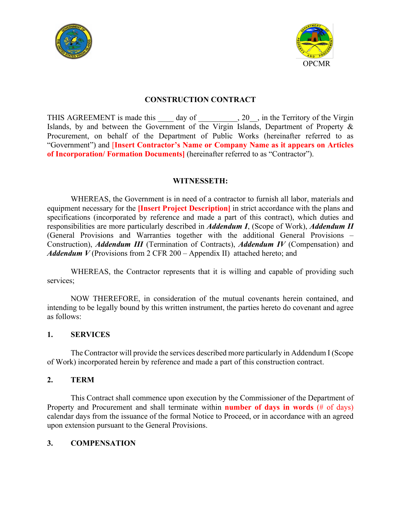



## **CONSTRUCTION CONTRACT**

THIS AGREEMENT is made this day of , 20, in the Territory of the Virgin Islands, by and between the Government of the Virgin Islands, Department of Property & Procurement, on behalf of the Department of Public Works (hereinafter referred to as "Government") and [**Insert Contractor's Name or Company Name as it appears on Articles of Incorporation/ Formation Documents]** (hereinafter referred to as "Contractor").

#### **WITNESSETH:**

WHEREAS, the Government is in need of a contractor to furnish all labor, materials and equipment necessary for the **[Insert Project Description]** in strict accordance with the plans and specifications (incorporated by reference and made a part of this contract), which duties and responsibilities are more particularly described in *Addendum I*, (Scope of Work), *Addendum II* (General Provisions and Warranties together with the additional General Provisions – Construction), *Addendum III* (Termination of Contracts), *Addendum IV* (Compensation) and *Addendum V* (Provisions from 2 CFR 200 – Appendix II) attached hereto; and

WHEREAS, the Contractor represents that it is willing and capable of providing such services;

NOW THEREFORE, in consideration of the mutual covenants herein contained, and intending to be legally bound by this written instrument, the parties hereto do covenant and agree as follows:

#### **1. SERVICES**

The Contractor will provide the services described more particularly in Addendum I (Scope of Work) incorporated herein by reference and made a part of this construction contract.

#### **2. TERM**

This Contract shall commence upon execution by the Commissioner of the Department of Property and Procurement and shall terminate within **number of days in words** (# of days) calendar days from the issuance of the formal Notice to Proceed, or in accordance with an agreed upon extension pursuant to the General Provisions.

#### **3. COMPENSATION**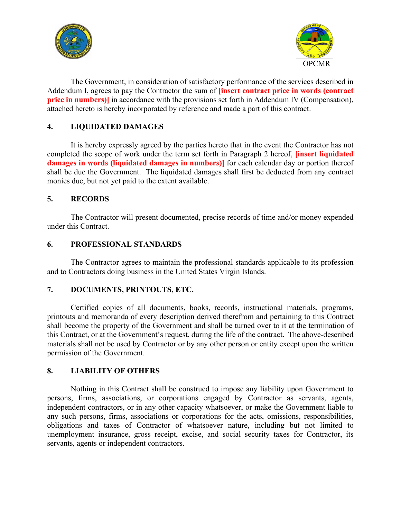



The Government, in consideration of satisfactory performance of the services described in Addendum I, agrees to pay the Contractor the sum of **[insert contract price in words (contract price in numbers)** in accordance with the provisions set forth in Addendum IV (Compensation), attached hereto is hereby incorporated by reference and made a part of this contract.

## **4. LIQUIDATED DAMAGES**

It is hereby expressly agreed by the parties hereto that in the event the Contractor has not completed the scope of work under the term set forth in Paragraph 2 hereof, **[insert liquidated damages in words (liquidated damages in numbers)]** for each calendar day or portion thereof shall be due the Government. The liquidated damages shall first be deducted from any contract monies due, but not yet paid to the extent available.

## **5. RECORDS**

The Contractor will present documented, precise records of time and/or money expended under this Contract.

## **6. PROFESSIONAL STANDARDS**

The Contractor agrees to maintain the professional standards applicable to its profession and to Contractors doing business in the United States Virgin Islands.

## **7. DOCUMENTS, PRINTOUTS, ETC.**

Certified copies of all documents, books, records, instructional materials, programs, printouts and memoranda of every description derived therefrom and pertaining to this Contract shall become the property of the Government and shall be turned over to it at the termination of this Contract, or at the Government's request, during the life of the contract. The above-described materials shall not be used by Contractor or by any other person or entity except upon the written permission of the Government.

## **8. LIABILITY OF OTHERS**

Nothing in this Contract shall be construed to impose any liability upon Government to persons, firms, associations, or corporations engaged by Contractor as servants, agents, independent contractors, or in any other capacity whatsoever, or make the Government liable to any such persons, firms, associations or corporations for the acts, omissions, responsibilities, obligations and taxes of Contractor of whatsoever nature, including but not limited to unemployment insurance, gross receipt, excise, and social security taxes for Contractor, its servants, agents or independent contractors.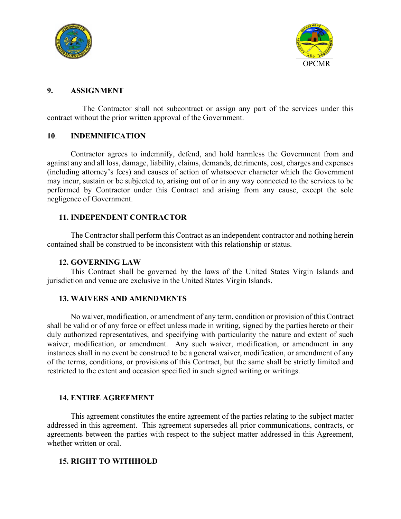



#### **9. ASSIGNMENT**

The Contractor shall not subcontract or assign any part of the services under this contract without the prior written approval of the Government.

#### **10**. **INDEMNIFICATION**

Contractor agrees to indemnify, defend, and hold harmless the Government from and against any and all loss, damage, liability, claims, demands, detriments, cost, charges and expenses (including attorney's fees) and causes of action of whatsoever character which the Government may incur, sustain or be subjected to, arising out of or in any way connected to the services to be performed by Contractor under this Contract and arising from any cause, except the sole negligence of Government.

#### **11. INDEPENDENT CONTRACTOR**

The Contractor shall perform this Contract as an independent contractor and nothing herein contained shall be construed to be inconsistent with this relationship or status.

#### **12. GOVERNING LAW**

This Contract shall be governed by the laws of the United States Virgin Islands and jurisdiction and venue are exclusive in the United States Virgin Islands.

#### **13. WAIVERS AND AMENDMENTS**

No waiver, modification, or amendment of any term, condition or provision of this Contract shall be valid or of any force or effect unless made in writing, signed by the parties hereto or their duly authorized representatives, and specifying with particularity the nature and extent of such waiver, modification, or amendment. Any such waiver, modification, or amendment in any instances shall in no event be construed to be a general waiver, modification, or amendment of any of the terms, conditions, or provisions of this Contract, but the same shall be strictly limited and restricted to the extent and occasion specified in such signed writing or writings.

#### **14. ENTIRE AGREEMENT**

This agreement constitutes the entire agreement of the parties relating to the subject matter addressed in this agreement. This agreement supersedes all prior communications, contracts, or agreements between the parties with respect to the subject matter addressed in this Agreement, whether written or oral.

#### **15. RIGHT TO WITHHOLD**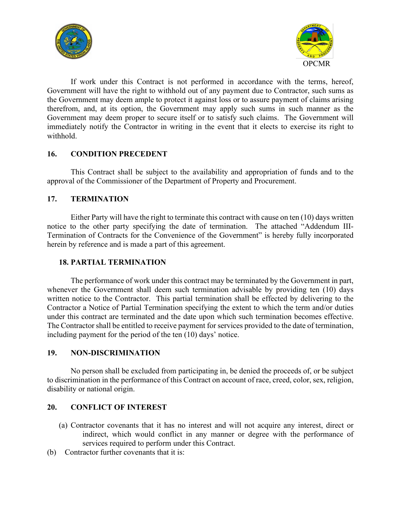



If work under this Contract is not performed in accordance with the terms, hereof, Government will have the right to withhold out of any payment due to Contractor, such sums as the Government may deem ample to protect it against loss or to assure payment of claims arising therefrom, and, at its option, the Government may apply such sums in such manner as the Government may deem proper to secure itself or to satisfy such claims. The Government will immediately notify the Contractor in writing in the event that it elects to exercise its right to withhold.

## **16. CONDITION PRECEDENT**

This Contract shall be subject to the availability and appropriation of funds and to the approval of the Commissioner of the Department of Property and Procurement.

#### **17. TERMINATION**

Either Party will have the right to terminate this contract with cause on ten (10) days written notice to the other party specifying the date of termination. The attached "Addendum III-Termination of Contracts for the Convenience of the Government" is hereby fully incorporated herein by reference and is made a part of this agreement.

#### **18. PARTIAL TERMINATION**

The performance of work under this contract may be terminated by the Government in part, whenever the Government shall deem such termination advisable by providing ten (10) days written notice to the Contractor. This partial termination shall be effected by delivering to the Contractor a Notice of Partial Termination specifying the extent to which the term and/or duties under this contract are terminated and the date upon which such termination becomes effective. The Contractor shall be entitled to receive payment for services provided to the date of termination, including payment for the period of the ten (10) days' notice.

#### **19. NON-DISCRIMINATION**

No person shall be excluded from participating in, be denied the proceeds of, or be subject to discrimination in the performance of this Contract on account of race, creed, color, sex, religion, disability or national origin.

#### **20. CONFLICT OF INTEREST**

- (a) Contractor covenants that it has no interest and will not acquire any interest, direct or indirect, which would conflict in any manner or degree with the performance of services required to perform under this Contract.
- (b) Contractor further covenants that it is: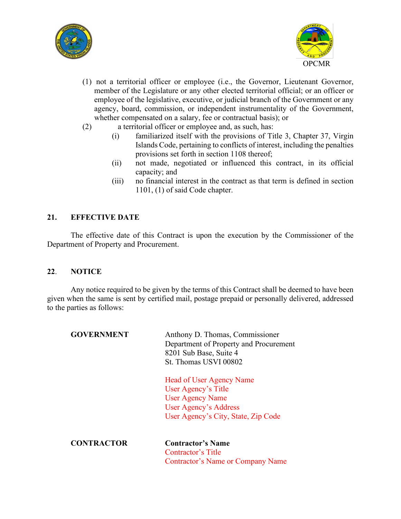



- (1) not a territorial officer or employee (i.e., the Governor, Lieutenant Governor, member of the Legislature or any other elected territorial official; or an officer or employee of the legislative, executive, or judicial branch of the Government or any agency, board, commission, or independent instrumentality of the Government, whether compensated on a salary, fee or contractual basis); or
- (2) a territorial officer or employee and, as such, has:
	- (i) familiarized itself with the provisions of Title 3, Chapter 37, Virgin Islands Code, pertaining to conflicts of interest, including the penalties provisions set forth in section 1108 thereof;
	- (ii) not made, negotiated or influenced this contract, in its official capacity; and
	- (iii) no financial interest in the contract as that term is defined in section 1101, (1) of said Code chapter.

## **21. EFFECTIVE DATE**

The effective date of this Contract is upon the execution by the Commissioner of the Department of Property and Procurement.

#### **22**. **NOTICE**

Any notice required to be given by the terms of this Contract shall be deemed to have been given when the same is sent by certified mail, postage prepaid or personally delivered, addressed to the parties as follows:

| <b>GOVERNMENT</b> | Anthony D. Thomas, Commissioner<br>Department of Property and Procurement<br>8201 Sub Base, Suite 4<br>St. Thomas USVI 00802                             |
|-------------------|----------------------------------------------------------------------------------------------------------------------------------------------------------|
|                   | <b>Head of User Agency Name</b><br>User Agency's Title<br><b>User Agency Name</b><br><b>User Agency's Address</b><br>User Agency's City, State, Zip Code |
| <b>CONTRACTOR</b> | <b>Contractor's Name</b><br>Contractor's Title<br>Contractor's Name or Company Name                                                                      |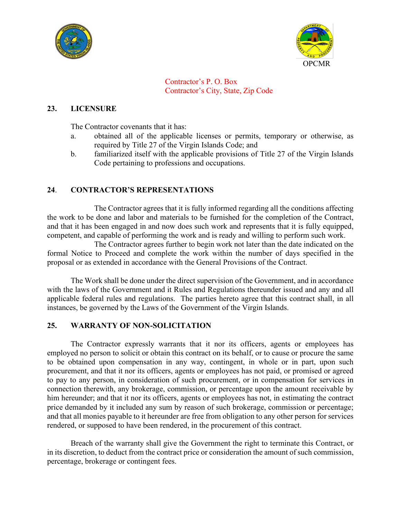



Contractor's P. O. Box Contractor's City, State, Zip Code

## **23. LICENSURE**

The Contractor covenants that it has:

- a. obtained all of the applicable licenses or permits, temporary or otherwise, as required by Title 27 of the Virgin Islands Code; and
- b. familiarized itself with the applicable provisions of Title 27 of the Virgin Islands Code pertaining to professions and occupations.

## **24**. **CONTRACTOR'S REPRESENTATIONS**

The Contractor agrees that it is fully informed regarding all the conditions affecting the work to be done and labor and materials to be furnished for the completion of the Contract, and that it has been engaged in and now does such work and represents that it is fully equipped, competent, and capable of performing the work and is ready and willing to perform such work.

The Contractor agrees further to begin work not later than the date indicated on the formal Notice to Proceed and complete the work within the number of days specified in the proposal or as extended in accordance with the General Provisions of the Contract.

The Work shall be done under the direct supervision of the Government, and in accordance with the laws of the Government and it Rules and Regulations thereunder issued and any and all applicable federal rules and regulations. The parties hereto agree that this contract shall, in all instances, be governed by the Laws of the Government of the Virgin Islands.

#### **25. WARRANTY OF NON-SOLICITATION**

The Contractor expressly warrants that it nor its officers, agents or employees has employed no person to solicit or obtain this contract on its behalf, or to cause or procure the same to be obtained upon compensation in any way, contingent, in whole or in part, upon such procurement, and that it nor its officers, agents or employees has not paid, or promised or agreed to pay to any person, in consideration of such procurement, or in compensation for services in connection therewith, any brokerage, commission, or percentage upon the amount receivable by him hereunder; and that it nor its officers, agents or employees has not, in estimating the contract price demanded by it included any sum by reason of such brokerage, commission or percentage; and that all monies payable to it hereunder are free from obligation to any other person for services rendered, or supposed to have been rendered, in the procurement of this contract.

Breach of the warranty shall give the Government the right to terminate this Contract, or in its discretion, to deduct from the contract price or consideration the amount of such commission, percentage, brokerage or contingent fees.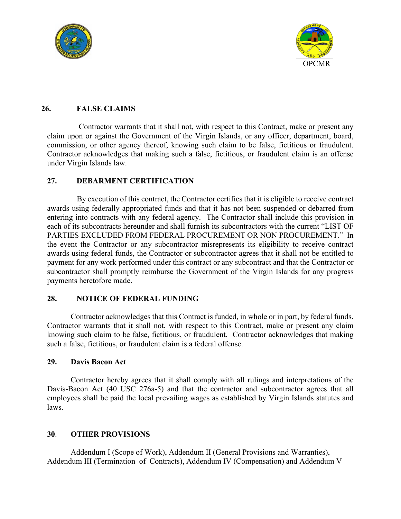



## **26. FALSE CLAIMS**

Contractor warrants that it shall not, with respect to this Contract, make or present any claim upon or against the Government of the Virgin Islands, or any officer, department, board, commission, or other agency thereof, knowing such claim to be false, fictitious or fraudulent. Contractor acknowledges that making such a false, fictitious, or fraudulent claim is an offense under Virgin Islands law.

## **27. DEBARMENT CERTIFICATION**

By execution of this contract, the Contractor certifies that it is eligible to receive contract awards using federally appropriated funds and that it has not been suspended or debarred from entering into contracts with any federal agency. The Contractor shall include this provision in each of its subcontracts hereunder and shall furnish its subcontractors with the current "LIST OF PARTIES EXCLUDED FROM FEDERAL PROCUREMENT OR NON PROCUREMENT." In the event the Contractor or any subcontractor misrepresents its eligibility to receive contract awards using federal funds, the Contractor or subcontractor agrees that it shall not be entitled to payment for any work performed under this contract or any subcontract and that the Contractor or subcontractor shall promptly reimburse the Government of the Virgin Islands for any progress payments heretofore made.

## **28. NOTICE OF FEDERAL FUNDING**

Contractor acknowledges that this Contract is funded, in whole or in part, by federal funds. Contractor warrants that it shall not, with respect to this Contract, make or present any claim knowing such claim to be false, fictitious, or fraudulent. Contractor acknowledges that making such a false, fictitious, or fraudulent claim is a federal offense.

#### **29. Davis Bacon Act**

Contractor hereby agrees that it shall comply with all rulings and interpretations of the Davis-Bacon Act (40 USC 276a-5) and that the contractor and subcontractor agrees that all employees shall be paid the local prevailing wages as established by Virgin Islands statutes and laws.

## **30**. **OTHER PROVISIONS**

Addendum I (Scope of Work), Addendum II (General Provisions and Warranties), Addendum III (Termination of Contracts), Addendum IV (Compensation) and Addendum V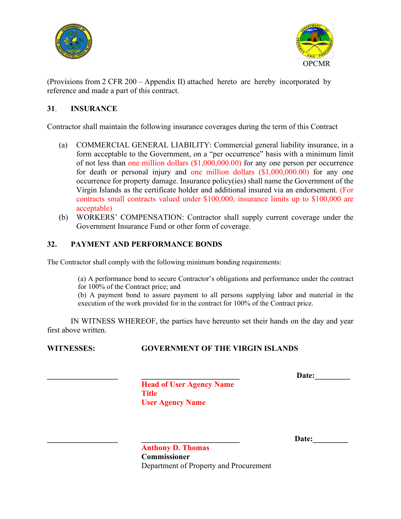



(Provisions from 2 CFR 200 – Appendix II) attached hereto are hereby incorporated by reference and made a part of this contract.

## **31**. **INSURANCE**

Contractor shall maintain the following insurance coverages during the term of this Contract

- (a) COMMERCIAL GENERAL LIABILITY: Commercial general liability insurance, in a form acceptable to the Government, on a "per occurrence" basis with a minimum limit of not less than one million dollars (\$1,000,000.00) for any one person per occurrence for death or personal injury and one million dollars (\$1,000,000.00) for any one occurrence for property damage. Insurance policy(ies) shall name the Government of the Virgin Islands as the certificate holder and additional insured via an endorsement. (For contracts small contracts valued under \$100,000, insurance limits up to \$100,000 are acceptable)
- (b) WORKERS' COMPENSATION: Contractor shall supply current coverage under the Government Insurance Fund or other form of coverage.

## **32. PAYMENT AND PERFORMANCE BONDS**

The Contractor shall comply with the following minimum bonding requirements:

(a) A performance bond to secure Contractor's obligations and performance under the contract for 100% of the Contract price; and

(b) A payment bond to assure payment to all persons supplying labor and material in the execution of the work provided for in the contract for 100% of the Contract price.

IN WITNESS WHEREOF, the parties have hereunto set their hands on the day and year first above written.

## **WITNESSES: GOVERNMENT OF THE VIRGIN ISLANDS**

**\_\_\_\_\_\_\_\_\_\_\_\_\_\_\_\_\_\_ \_\_\_\_\_\_\_\_\_\_\_\_\_\_\_\_\_\_\_\_\_\_\_\_\_ Date:\_\_\_\_\_\_\_\_\_**

**Head of User Agency Name Title User Agency Name**

Date:

**Anthony D. Thomas Commissioner** Department of Property and Procurement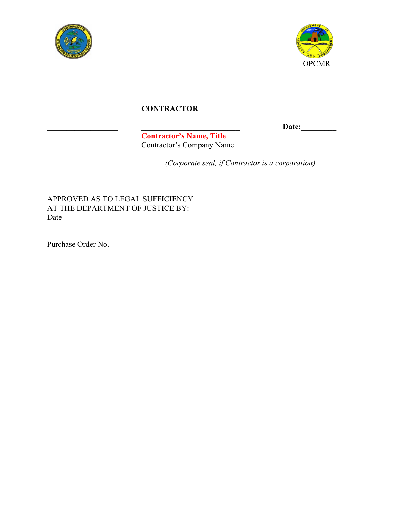



# **CONTRACTOR**

**\_\_\_\_\_\_\_\_\_\_\_\_\_\_\_\_\_\_ \_\_\_\_\_\_\_\_\_\_\_\_\_\_\_\_\_\_\_\_\_\_\_\_\_ Date:\_\_\_\_\_\_\_\_\_**

**Contractor's Name, Title** Contractor's Company Name

*(Corporate seal, if Contractor is a corporation)*

APPROVED AS TO LEGAL SUFFICIENCY AT THE DEPARTMENT OF JUSTICE BY: \_\_\_\_\_\_\_\_\_\_\_\_\_\_\_\_\_ Date \_\_\_\_\_\_\_\_\_

 $\mathcal{L}_\text{max}$  . The set of the set of the set of the set of the set of the set of the set of the set of the set of the set of the set of the set of the set of the set of the set of the set of the set of the set of the set Purchase Order No.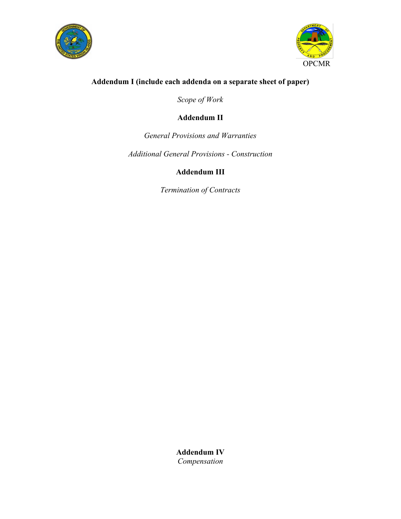



# **Addendum I (include each addenda on a separate sheet of paper)**

*Scope of Work*

# **Addendum II**

## *General Provisions and Warranties*

*Additional General Provisions - Construction*

# **Addendum III**

*Termination of Contracts*

**Addendum IV** *Compensation*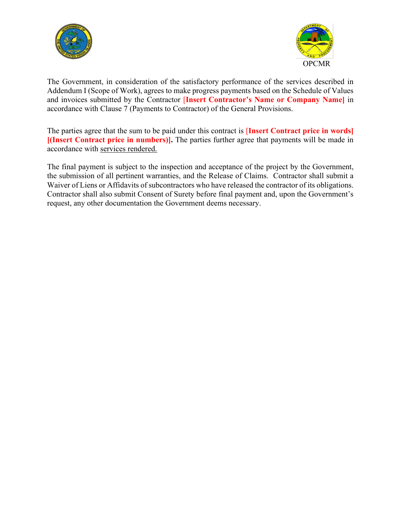



The Government, in consideration of the satisfactory performance of the services described in Addendum I (Scope of Work), agrees to make progress payments based on the Schedule of Values and invoices submitted by the Contractor [**Insert Contractor's Name or Company Name]** in accordance with Clause 7 (Payments to Contractor) of the General Provisions.

The parties agree that the sum to be paid under this contract is [**Insert Contract price in words] [(Insert Contract price in numbers)].** The parties further agree that payments will be made in accordance with services rendered.

The final payment is subject to the inspection and acceptance of the project by the Government, the submission of all pertinent warranties, and the Release of Claims. Contractor shall submit a Waiver of Liens or Affidavits of subcontractors who have released the contractor of its obligations. Contractor shall also submit Consent of Surety before final payment and, upon the Government's request, any other documentation the Government deems necessary.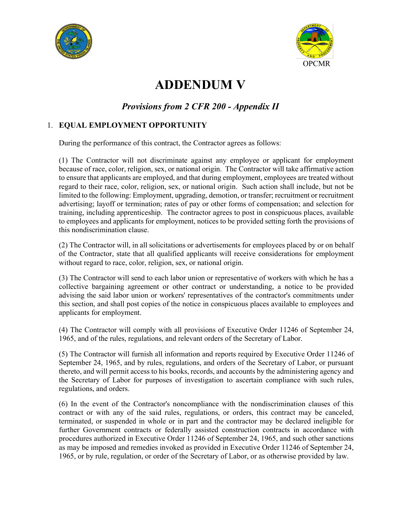



# **ADDENDUM V**

# *Provisions from 2 CFR 200 - Appendix II*

## 1. **EQUAL EMPLOYMENT OPPORTUNITY**

During the performance of this contract, the Contractor agrees as follows:

(1) The Contractor will not discriminate against any employee or applicant for employment because of race, color, religion, sex, or national origin. The Contractor will take affirmative action to ensure that applicants are employed, and that during employment, employees are treated without regard to their race, color, religion, sex, or national origin. Such action shall include, but not be limited to the following: Employment, upgrading, demotion, or transfer; recruitment or recruitment advertising; layoff or termination; rates of pay or other forms of compensation; and selection for training, including apprenticeship. The contractor agrees to post in conspicuous places, available to employees and applicants for employment, notices to be provided setting forth the provisions of this nondiscrimination clause.

(2) The Contractor will, in all solicitations or advertisements for employees placed by or on behalf of the Contractor, state that all qualified applicants will receive considerations for employment without regard to race, color, religion, sex, or national origin.

(3) The Contractor will send to each labor union or representative of workers with which he has a collective bargaining agreement or other contract or understanding, a notice to be provided advising the said labor union or workers' representatives of the contractor's commitments under this section, and shall post copies of the notice in conspicuous places available to employees and applicants for employment.

(4) The Contractor will comply with all provisions of Executive Order 11246 of September 24, 1965, and of the rules, regulations, and relevant orders of the Secretary of Labor.

(5) The Contractor will furnish all information and reports required by Executive Order 11246 of September 24, 1965, and by rules, regulations, and orders of the Secretary of Labor, or pursuant thereto, and will permit access to his books, records, and accounts by the administering agency and the Secretary of Labor for purposes of investigation to ascertain compliance with such rules, regulations, and orders.

(6) In the event of the Contractor's noncompliance with the nondiscrimination clauses of this contract or with any of the said rules, regulations, or orders, this contract may be canceled, terminated, or suspended in whole or in part and the contractor may be declared ineligible for further Government contracts or federally assisted construction contracts in accordance with procedures authorized in Executive Order 11246 of September 24, 1965, and such other sanctions as may be imposed and remedies invoked as provided in Executive Order 11246 of September 24, 1965, or by rule, regulation, or order of the Secretary of Labor, or as otherwise provided by law.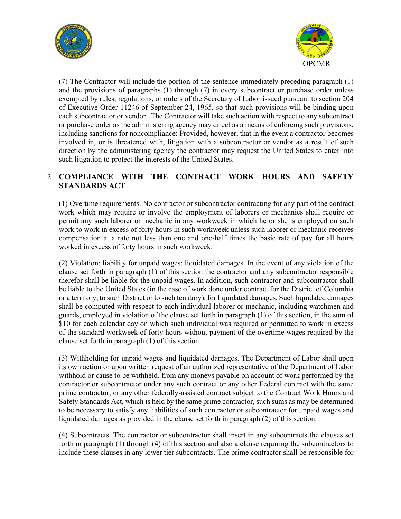



(7) The Contractor will include the portion of the sentence immediately preceding paragraph (1) and the provisions of paragraphs (1) through (7) in every subcontract or purchase order unless exempted by rules, regulations, or orders of the Secretary of Labor issued pursuant to section 204 of Executive Order 11246 of September 24, 1965, so that such provisions will be binding upon each subcontractor or vendor. The Contractor will take such action with respect to any subcontract or purchase order as the administering agency may direct as a means of enforcing such provisions, including sanctions for noncompliance: Provided, however, that in the event a contractor becomes involved in, or is threatened with, litigation with a subcontractor or vendor as a result of such direction by the administering agency the contractor may request the United States to enter into such litigation to protect the interests of the United States.

## 2. **COMPLIANCE WITH THE CONTRACT WORK HOURS AND SAFETY STANDARDS ACT**

(1) Overtime requirements. No contractor or subcontractor contracting for any part of the contract work which may require or involve the employment of laborers or mechanics shall require or permit any such laborer or mechanic in any workweek in which he or she is employed on such work to work in excess of forty hours in such workweek unless such laborer or mechanic receives compensation at a rate not less than one and one-half times the basic rate of pay for all hours worked in excess of forty hours in such workweek.

(2) Violation; liability for unpaid wages; liquidated damages. In the event of any violation of the clause set forth in paragraph (1) of this section the contractor and any subcontractor responsible therefor shall be liable for the unpaid wages. In addition, such contractor and subcontractor shall be liable to the United States (in the case of work done under contract for the District of Columbia or a territory, to such District or to such territory), for liquidated damages. Such liquidated damages shall be computed with respect to each individual laborer or mechanic, including watchmen and guards, employed in violation of the clause set forth in paragraph (1) of this section, in the sum of \$10 for each calendar day on which such individual was required or permitted to work in excess of the standard workweek of forty hours without payment of the overtime wages required by the clause set forth in paragraph (1) of this section.

(3) Withholding for unpaid wages and liquidated damages. The Department of Labor shall upon its own action or upon written request of an authorized representative of the Department of Labor withhold or cause to be withheld, from any moneys payable on account of work performed by the contractor or subcontractor under any such contract or any other Federal contract with the same prime contractor, or any other federally-assisted contract subject to the Contract Work Hours and Safety Standards Act, which is held by the same prime contractor, such sums as may be determined to be necessary to satisfy any liabilities of such contractor or subcontractor for unpaid wages and liquidated damages as provided in the clause set forth in paragraph (2) of this section.

(4) Subcontracts. The contractor or subcontractor shall insert in any subcontracts the clauses set forth in paragraph (1) through (4) of this section and also a clause requiring the subcontractors to include these clauses in any lower tier subcontracts. The prime contractor shall be responsible for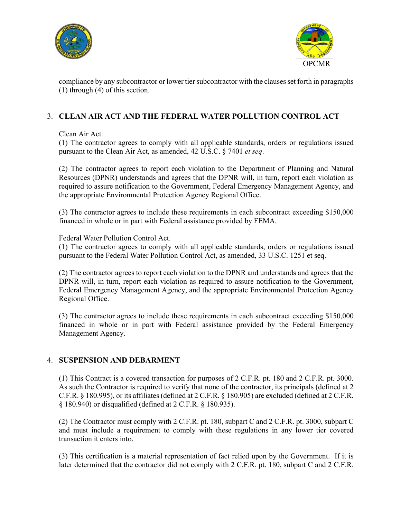



compliance by any subcontractor or lower tier subcontractor with the clauses set forth in paragraphs (1) through (4) of this section.

## 3. **CLEAN AIR ACT AND THE FEDERAL WATER POLLUTION CONTROL ACT**

Clean Air Act.

(1) The contractor agrees to comply with all applicable standards, orders or regulations issued pursuant to the Clean Air Act, as amended, 42 U.S.C. § 7401 *et seq*.

(2) The contractor agrees to report each violation to the Department of Planning and Natural Resources (DPNR) understands and agrees that the DPNR will, in turn, report each violation as required to assure notification to the Government, Federal Emergency Management Agency, and the appropriate Environmental Protection Agency Regional Office.

(3) The contractor agrees to include these requirements in each subcontract exceeding \$150,000 financed in whole or in part with Federal assistance provided by FEMA.

Federal Water Pollution Control Act.

(1) The contractor agrees to comply with all applicable standards, orders or regulations issued pursuant to the Federal Water Pollution Control Act, as amended, 33 U.S.C. 1251 et seq.

(2) The contractor agrees to report each violation to the DPNR and understands and agrees that the DPNR will, in turn, report each violation as required to assure notification to the Government, Federal Emergency Management Agency, and the appropriate Environmental Protection Agency Regional Office.

(3) The contractor agrees to include these requirements in each subcontract exceeding \$150,000 financed in whole or in part with Federal assistance provided by the Federal Emergency Management Agency.

## 4. **SUSPENSION AND DEBARMENT**

(1) This Contract is a covered transaction for purposes of 2 C.F.R. pt. 180 and 2 C.F.R. pt. 3000. As such the Contractor is required to verify that none of the contractor, its principals (defined at 2 C.F.R. § 180.995), or its affiliates (defined at 2 C.F.R. § 180.905) are excluded (defined at 2 C.F.R. § 180.940) or disqualified (defined at 2 C.F.R. § 180.935).

(2) The Contractor must comply with 2 C.F.R. pt. 180, subpart C and 2 C.F.R. pt. 3000, subpart C and must include a requirement to comply with these regulations in any lower tier covered transaction it enters into.

(3) This certification is a material representation of fact relied upon by the Government. If it is later determined that the contractor did not comply with 2 C.F.R. pt. 180, subpart C and 2 C.F.R.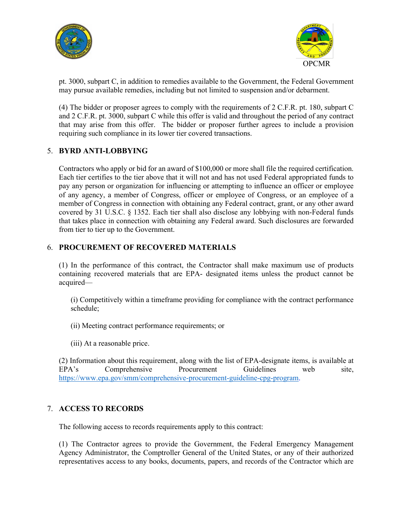



pt. 3000, subpart C, in addition to remedies available to the Government, the Federal Government may pursue available remedies, including but not limited to suspension and/or debarment.

(4) The bidder or proposer agrees to comply with the requirements of 2 C.F.R. pt. 180, subpart C and 2 C.F.R. pt. 3000, subpart C while this offer is valid and throughout the period of any contract that may arise from this offer. The bidder or proposer further agrees to include a provision requiring such compliance in its lower tier covered transactions.

## 5. **BYRD ANTI-LOBBYING**

Contractors who apply or bid for an award of \$100,000 or more shall file the required certification. Each tier certifies to the tier above that it will not and has not used Federal appropriated funds to pay any person or organization for influencing or attempting to influence an officer or employee of any agency, a member of Congress, officer or employee of Congress, or an employee of a member of Congress in connection with obtaining any Federal contract, grant, or any other award covered by 31 U.S.C. § 1352. Each tier shall also disclose any lobbying with non-Federal funds that takes place in connection with obtaining any Federal award. Such disclosures are forwarded from tier to tier up to the Government.

## 6. **PROCUREMENT OF RECOVERED MATERIALS**

(1) In the performance of this contract, the Contractor shall make maximum use of products containing recovered materials that are EPA- designated items unless the product cannot be acquired—

(i) Competitively within a timeframe providing for compliance with the contract performance schedule;

(ii) Meeting contract performance requirements; or

(iii) At a reasonable price.

(2) Information about this requirement, along with the list of EPA-designate items, is available at EPA's Comprehensive Procurement Guidelines web site, [https://www.epa.gov/smm/comprehensive-procurement-guideline-cpg-program.](https://www.epa.gov/smm/comprehensive-procurement-guideline-cpg-program)

## 7. **ACCESS TO RECORDS**

The following access to records requirements apply to this contract:

(1) The Contractor agrees to provide the Government, the Federal Emergency Management Agency Administrator, the Comptroller General of the United States, or any of their authorized representatives access to any books, documents, papers, and records of the Contractor which are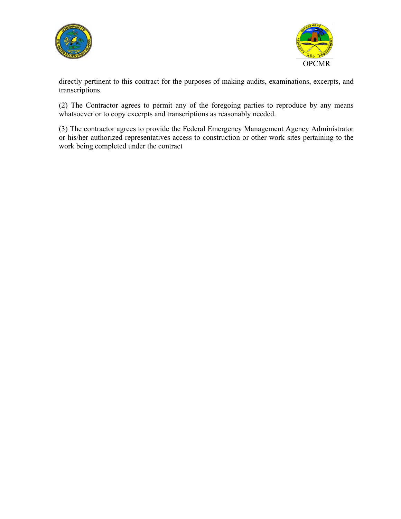



directly pertinent to this contract for the purposes of making audits, examinations, excerpts, and transcriptions.

(2) The Contractor agrees to permit any of the foregoing parties to reproduce by any means whatsoever or to copy excerpts and transcriptions as reasonably needed.

(3) The contractor agrees to provide the Federal Emergency Management Agency Administrator or his/her authorized representatives access to construction or other work sites pertaining to the work being completed under the contract